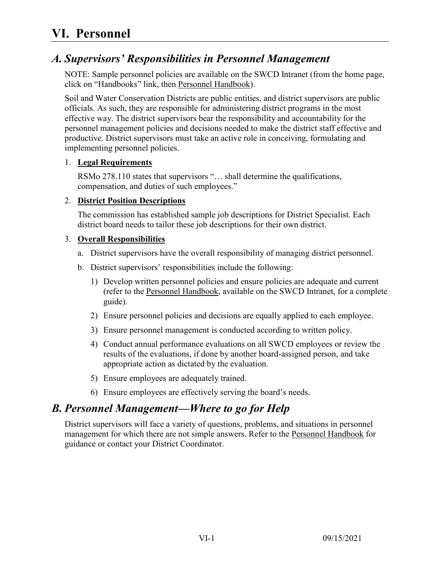# **VI. Personnel**

# *A. Supervisors' Responsibilities in Personnel Management*

NOTE: Sample personnel policies are available on the SWCD Intranet (from the home page, click on "Handbooks" link, then Personnel Handbook).

Soil and Water Conservation Districts are public entities, and district supervisors are public officials. As such, they are responsible for administering district programs in the most effective way. The district supervisors bear the responsibility and accountability for the personnel management policies and decisions needed to make the district staff effective and productive. District supervisors must take an active role in conceiving, formulating and implementing personnel policies.

#### 1. **Legal Requirements**

RSMo 278.110 states that supervisors "… shall determine the qualifications, compensation, and duties of such employees."

#### 2. **District Position Descriptions**

The commission has established sample job descriptions for District Specialist. Each district board needs to tailor these job descriptions for their own district.

#### 3. **Overall Responsibilities**

- a. District supervisors have the overall responsibility of managing district personnel.
- b. District supervisors' responsibilities include the following:
	- 1) Develop written personnel policies and ensure policies are adequate and current (refer to the Personnel Handbook, available on the SWCD Intranet, for a complete guide).
	- 2) Ensure personnel policies and decisions are equally applied to each employee.
	- 3) Ensure personnel management is conducted according to written policy.
	- 4) Conduct annual performance evaluations on all SWCD employees or review the results of the evaluations, if done by another board-assigned person, and take appropriate action as dictated by the evaluation.
	- 5) Ensure employees are adequately trained.
	- 6) Ensure employees are effectively serving the board's needs.

## *B. Personnel Management—Where to go for Help*

District supervisors will face a variety of questions, problems, and situations in personnel management for which there are not simple answers. Refer to the Personnel Handbook for guidance or contact your District Coordinator.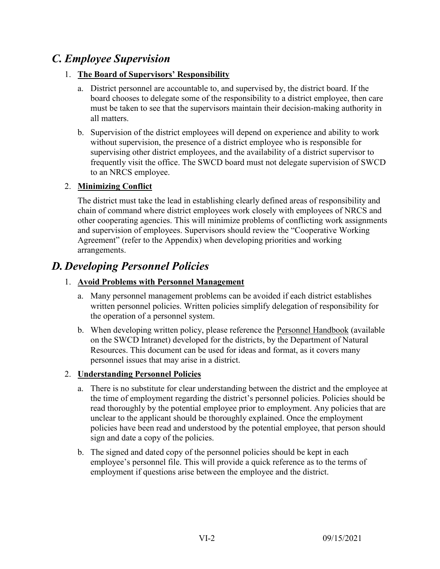# *C. Employee Supervision*

### 1. **The Board of Supervisors' Responsibility**

- a. District personnel are accountable to, and supervised by, the district board. If the board chooses to delegate some of the responsibility to a district employee, then care must be taken to see that the supervisors maintain their decision-making authority in all matters.
- b. Supervision of the district employees will depend on experience and ability to work without supervision, the presence of a district employee who is responsible for supervising other district employees, and the availability of a district supervisor to frequently visit the office. The SWCD board must not delegate supervision of SWCD to an NRCS employee.

### 2. **Minimizing Conflict**

The district must take the lead in establishing clearly defined areas of responsibility and chain of command where district employees work closely with employees of NRCS and other cooperating agencies. This will minimize problems of conflicting work assignments and supervision of employees. Supervisors should review the "Cooperative Working Agreement" (refer to the Appendix) when developing priorities and working arrangements.

# *D. Developing Personnel Policies*

### 1. **Avoid Problems with Personnel Management**

- a. Many personnel management problems can be avoided if each district establishes written personnel policies. Written policies simplify delegation of responsibility for the operation of a personnel system.
- b. When developing written policy, please reference the **Personnel Handbook** (available on the SWCD Intranet) developed for the districts, by the Department of Natural Resources. This document can be used for ideas and format, as it covers many personnel issues that may arise in a district.

### 2. **Understanding Personnel Policies**

- a. There is no substitute for clear understanding between the district and the employee at the time of employment regarding the district's personnel policies. Policies should be read thoroughly by the potential employee prior to employment. Any policies that are unclear to the applicant should be thoroughly explained. Once the employment policies have been read and understood by the potential employee, that person should sign and date a copy of the policies.
- b. The signed and dated copy of the personnel policies should be kept in each employee's personnel file. This will provide a quick reference as to the terms of employment if questions arise between the employee and the district.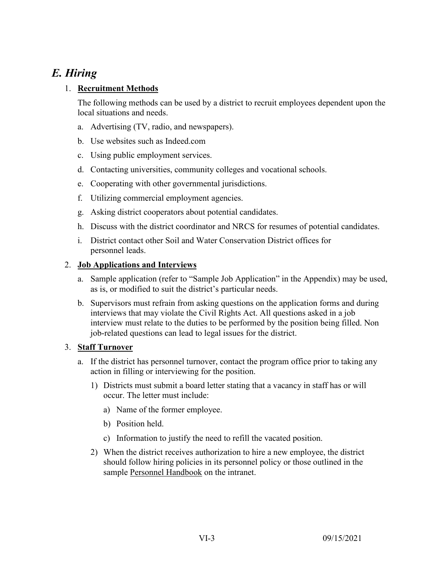# *E. Hiring*

### 1. **Recruitment Methods**

The following methods can be used by a district to recruit employees dependent upon the local situations and needs.

- a. Advertising (TV, radio, and newspapers).
- b. Use websites such as Indeed.com
- c. Using public employment services.
- d. Contacting universities, community colleges and vocational schools.
- e. Cooperating with other governmental jurisdictions.
- f. Utilizing commercial employment agencies.
- g. Asking district cooperators about potential candidates.
- h. Discuss with the district coordinator and NRCS for resumes of potential candidates.
- i. District contact other Soil and Water Conservation District offices for personnel leads.

#### 2. **Job Applications and Interviews**

- a. Sample application (refer to "Sample Job Application" in the Appendix) may be used, as is, or modified to suit the district's particular needs.
- b. Supervisors must refrain from asking questions on the application forms and during interviews that may violate the Civil Rights Act. All questions asked in a job interview must relate to the duties to be performed by the position being filled. Non job-related questions can lead to legal issues for the district.

### 3. **Staff Turnover**

- a. If the district has personnel turnover, contact the program office prior to taking any action in filling or interviewing for the position.
	- 1) Districts must submit a board letter stating that a vacancy in staff has or will occur. The letter must include:
		- a) Name of the former employee.
		- b) Position held.
		- c) Information to justify the need to refill the vacated position.
	- 2) When the district receives authorization to hire a new employee, the district should follow hiring policies in its personnel policy or those outlined in the sample Personnel Handbook on the intranet.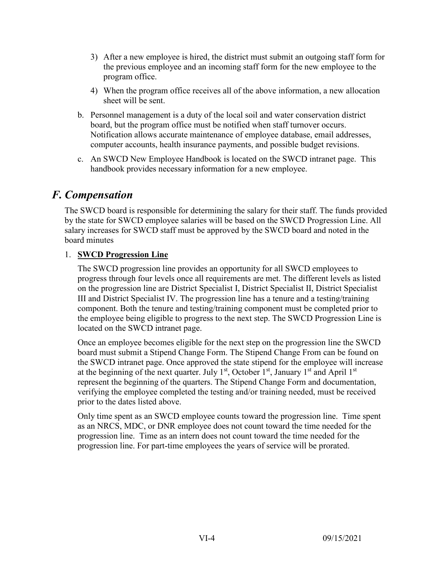- 3) After a new employee is hired, the district must submit an outgoing staff form for the previous employee and an incoming staff form for the new employee to the program office.
- 4) When the program office receives all of the above information, a new allocation sheet will be sent.
- b. Personnel management is a duty of the local soil and water conservation district board, but the program office must be notified when staff turnover occurs. Notification allows accurate maintenance of employee database, email addresses, computer accounts, health insurance payments, and possible budget revisions.
- c. An SWCD New Employee Handbook is located on the SWCD intranet page. This handbook provides necessary information for a new employee.

# *F. Compensation*

The SWCD board is responsible for determining the salary for their staff. The funds provided by the state for SWCD employee salaries will be based on the SWCD Progression Line. All salary increases for SWCD staff must be approved by the SWCD board and noted in the board minutes

### 1. **SWCD Progression Line**

The SWCD progression line provides an opportunity for all SWCD employees to progress through four levels once all requirements are met. The different levels as listed on the progression line are District Specialist I, District Specialist II, District Specialist III and District Specialist IV. The progression line has a tenure and a testing/training component. Both the tenure and testing/training component must be completed prior to the employee being eligible to progress to the next step. The SWCD Progression Line is located on the SWCD intranet page.

Once an employee becomes eligible for the next step on the progression line the SWCD board must submit a Stipend Change Form. The Stipend Change From can be found on the SWCD intranet page. Once approved the state stipend for the employee will increase at the beginning of the next quarter. July  $1<sup>st</sup>$ , October  $1<sup>st</sup>$ , January  $1<sup>st</sup>$  and April  $1<sup>st</sup>$ represent the beginning of the quarters. The Stipend Change Form and documentation, verifying the employee completed the testing and/or training needed, must be received prior to the dates listed above.

Only time spent as an SWCD employee counts toward the progression line. Time spent as an NRCS, MDC, or DNR employee does not count toward the time needed for the progression line. Time as an intern does not count toward the time needed for the progression line. For part-time employees the years of service will be prorated.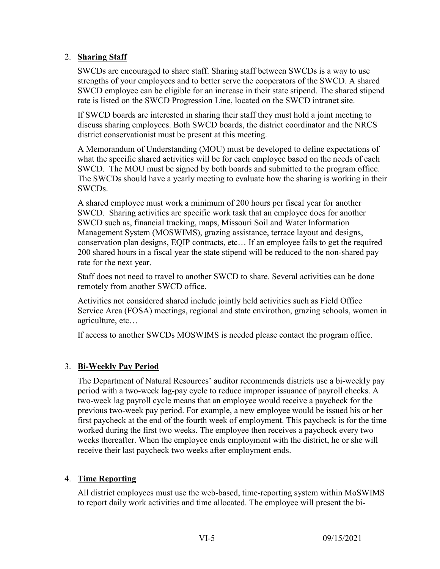#### 2. **Sharing Staff**

SWCDs are encouraged to share staff. Sharing staff between SWCDs is a way to use strengths of your employees and to better serve the cooperators of the SWCD. A shared SWCD employee can be eligible for an increase in their state stipend. The shared stipend rate is listed on the SWCD Progression Line, located on the SWCD intranet site.

If SWCD boards are interested in sharing their staff they must hold a joint meeting to discuss sharing employees. Both SWCD boards, the district coordinator and the NRCS district conservationist must be present at this meeting.

A Memorandum of Understanding (MOU) must be developed to define expectations of what the specific shared activities will be for each employee based on the needs of each SWCD. The MOU must be signed by both boards and submitted to the program office. The SWCDs should have a yearly meeting to evaluate how the sharing is working in their SWCDs.

A shared employee must work a minimum of 200 hours per fiscal year for another SWCD. Sharing activities are specific work task that an employee does for another SWCD such as, financial tracking, maps, Missouri Soil and Water Information Management System (MOSWIMS), grazing assistance, terrace layout and designs, conservation plan designs, EQIP contracts, etc… If an employee fails to get the required 200 shared hours in a fiscal year the state stipend will be reduced to the non-shared pay rate for the next year.

Staff does not need to travel to another SWCD to share. Several activities can be done remotely from another SWCD office.

Activities not considered shared include jointly held activities such as Field Office Service Area (FOSA) meetings, regional and state envirothon, grazing schools, women in agriculture, etc…

If access to another SWCDs MOSWIMS is needed please contact the program office.

### 3. **Bi-Weekly Pay Period**

The Department of Natural Resources' auditor recommends districts use a bi-weekly pay period with a two-week lag-pay cycle to reduce improper issuance of payroll checks. A two-week lag payroll cycle means that an employee would receive a paycheck for the previous two-week pay period. For example, a new employee would be issued his or her first paycheck at the end of the fourth week of employment. This paycheck is for the time worked during the first two weeks. The employee then receives a paycheck every two weeks thereafter. When the employee ends employment with the district, he or she will receive their last paycheck two weeks after employment ends.

#### 4. **Time Reporting**

All district employees must use the web-based, time-reporting system within MoSWIMS to report daily work activities and time allocated. The employee will present the bi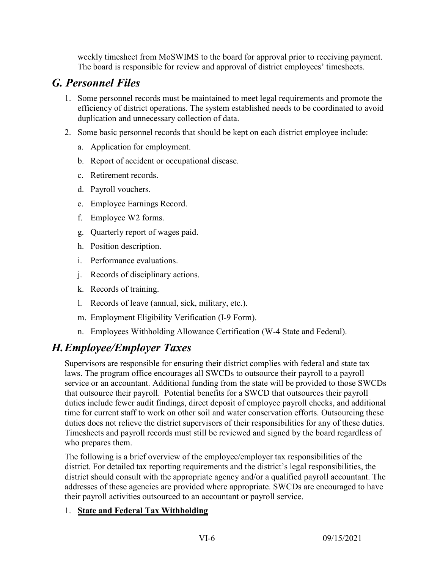weekly timesheet from MoSWIMS to the board for approval prior to receiving payment. The board is responsible for review and approval of district employees' timesheets.

# *G. Personnel Files*

- 1. Some personnel records must be maintained to meet legal requirements and promote the efficiency of district operations. The system established needs to be coordinated to avoid duplication and unnecessary collection of data.
- 2. Some basic personnel records that should be kept on each district employee include:
	- a. Application for employment.
	- b. Report of accident or occupational disease.
	- c. Retirement records.
	- d. Payroll vouchers.
	- e. Employee Earnings Record.
	- f. Employee W2 forms.
	- g. Quarterly report of wages paid.
	- h. Position description.
	- i. Performance evaluations.
	- j. Records of disciplinary actions.
	- k. Records of training.
	- l. Records of leave (annual, sick, military, etc.).
	- m. Employment Eligibility Verification (I-9 Form).
	- n. Employees Withholding Allowance Certification (W-4 State and Federal).

# *H.Employee/Employer Taxes*

Supervisors are responsible for ensuring their district complies with federal and state tax laws. The program office encourages all SWCDs to outsource their payroll to a payroll service or an accountant. Additional funding from the state will be provided to those SWCDs that outsource their payroll. Potential benefits for a SWCD that outsources their payroll duties include fewer audit findings, direct deposit of employee payroll checks, and additional time for current staff to work on other soil and water conservation efforts. Outsourcing these duties does not relieve the district supervisors of their responsibilities for any of these duties. Timesheets and payroll records must still be reviewed and signed by the board regardless of who prepares them.

The following is a brief overview of the employee/employer tax responsibilities of the district. For detailed tax reporting requirements and the district's legal responsibilities, the district should consult with the appropriate agency and/or a qualified payroll accountant. The addresses of these agencies are provided where appropriate. SWCDs are encouraged to have their payroll activities outsourced to an accountant or payroll service.

### 1. **State and Federal Tax Withholding**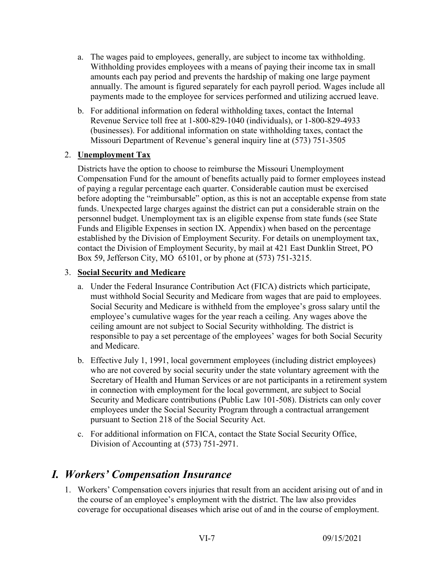- a. The wages paid to employees, generally, are subject to income tax withholding. Withholding provides employees with a means of paying their income tax in small amounts each pay period and prevents the hardship of making one large payment annually. The amount is figured separately for each payroll period. Wages include all payments made to the employee for services performed and utilizing accrued leave.
- b. For additional information on federal withholding taxes, contact the Internal Revenue Service toll free at 1-800-829-1040 (individuals), or 1-800-829-4933 (businesses). For additional information on state withholding taxes, contact the Missouri Department of Revenue's general inquiry line at (573) 751-3505

#### 2. **Unemployment Tax**

Districts have the option to choose to reimburse the Missouri Unemployment Compensation Fund for the amount of benefits actually paid to former employees instead of paying a regular percentage each quarter. Considerable caution must be exercised before adopting the "reimbursable" option, as this is not an acceptable expense from state funds. Unexpected large charges against the district can put a considerable strain on the personnel budget. Unemployment tax is an eligible expense from state funds (see State Funds and Eligible Expenses in section IX. Appendix) when based on the percentage established by the Division of Employment Security. For details on unemployment tax, contact the Division of Employment Security, by mail at 421 East Dunklin Street, PO Box 59, Jefferson City, MO 65101, or by phone at (573) 751-3215.

#### 3. **Social Security and Medicare**

- a. Under the Federal Insurance Contribution Act (FICA) districts which participate, must withhold Social Security and Medicare from wages that are paid to employees. Social Security and Medicare is withheld from the employee's gross salary until the employee's cumulative wages for the year reach a ceiling. Any wages above the ceiling amount are not subject to Social Security withholding. The district is responsible to pay a set percentage of the employees' wages for both Social Security and Medicare.
- b. Effective July 1, 1991, local government employees (including district employees) who are not covered by social security under the state voluntary agreement with the Secretary of Health and Human Services or are not participants in a retirement system in connection with employment for the local government, are subject to Social Security and Medicare contributions (Public Law 101-508). Districts can only cover employees under the Social Security Program through a contractual arrangement pursuant to Section 218 of the Social Security Act.
- c. For additional information on FICA, contact the State Social Security Office, Division of Accounting at (573) 751-2971.

# *I. Workers' Compensation Insurance*

1. Workers' Compensation covers injuries that result from an accident arising out of and in the course of an employee's employment with the district. The law also provides coverage for occupational diseases which arise out of and in the course of employment.